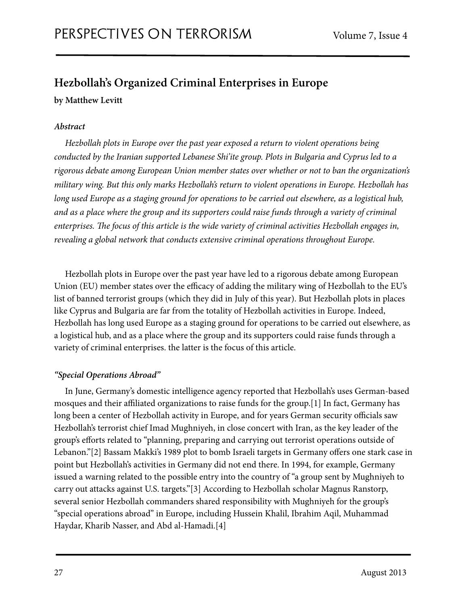# **Hezbollah's Organized Criminal Enterprises in Europe by Matthew Levitt**

# *Abstract*

*Hezbollah plots in Europe over the past year exposed a return to violent operations being conducted by the Iranian supported Lebanese Shi'ite group. Plots in Bulgaria and Cyprus led to a rigorous debate among European Union member states over whether or not to ban the organization's military wing. But this only marks Hezbollah's return to violent operations in Europe. Hezbollah has long used Europe as a staging ground for operations to be carried out elsewhere, as a logistical hub, and as a place where the group and its supporters could raise funds through a variety of criminal*  enterprises. The focus of this article is the wide variety of criminal activities Hezbollah engages in, *revealing a global network that conducts extensive criminal operations throughout Europe.*

Hezbollah plots in Europe over the past year have led to a rigorous debate among European Union (EU) member states over the efficacy of adding the military wing of Hezbollah to the EU's list of banned terrorist groups (which they did in July of this year). But Hezbollah plots in places like Cyprus and Bulgaria are far from the totality of Hezbollah activities in Europe. Indeed, Hezbollah has long used Europe as a staging ground for operations to be carried out elsewhere, as a logistical hub, and as a place where the group and its supporters could raise funds through a variety of criminal enterprises. the latter is the focus of this article.

# *"Special Operations Abroad"*

In June, Germany's domestic intelligence agency reported that Hezbollah's uses German-based mosques and their affiliated organizations to raise funds for the group.[1] In fact, Germany has long been a center of Hezbollah activity in Europe, and for years German security officials saw Hezbollah's terrorist chief Imad Mughniyeh, in close concert with Iran, as the key leader of the group's efforts related to "planning, preparing and carrying out terrorist operations outside of Lebanon."[2] Bassam Makki's 1989 plot to bomb Israeli targets in Germany offers one stark case in point but Hezbollah's activities in Germany did not end there. In 1994, for example, Germany issued a warning related to the possible entry into the country of "a group sent by Mughniyeh to carry out attacks against U.S. targets."[3] According to Hezbollah scholar Magnus Ranstorp, several senior Hezbollah commanders shared responsibility with Mughniyeh for the group's "special operations abroad" in Europe, including Hussein Khalil, Ibrahim Aqil, Muhammad Haydar, Kharib Nasser, and Abd al-Hamadi.[4]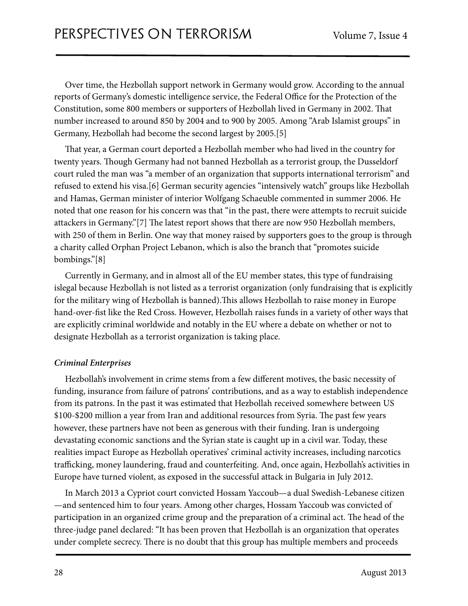Over time, the Hezbollah support network in Germany would grow. According to the annual reports of Germany's domestic intelligence service, the Federal Office for the Protection of the Constitution, some 800 members or supporters of Hezbollah lived in Germany in 2002. That number increased to around 850 by 2004 and to 900 by 2005. Among "Arab Islamist groups" in Germany, Hezbollah had become the second largest by 2005.[5]

That year, a German court deported a Hezbollah member who had lived in the country for twenty years. Though Germany had not banned Hezbollah as a terrorist group, the Dusseldorf court ruled the man was "a member of an organization that supports international terrorism" and refused to extend his visa.[6] German security agencies "intensively watch" groups like Hezbollah and Hamas, German minister of interior Wolfgang Schaeuble commented in summer 2006. He noted that one reason for his concern was that "in the past, there were attempts to recruit suicide attackers in Germany."[7] The latest report shows that there are now 950 Hezbollah members, with 250 of them in Berlin. One way that money raised by supporters goes to the group is through a charity called Orphan Project Lebanon, which is also the branch that "promotes suicide bombings."[8]

Currently in Germany, and in almost all of the EU member states, this type of fundraising islegal because Hezbollah is not listed as a terrorist organization (only fundraising that is explicitly for the military wing of Hezbollah is banned). This allows Hezbollah to raise money in Europe hand-over-fist like the Red Cross. However, Hezbollah raises funds in a variety of other ways that are explicitly criminal worldwide and notably in the EU where a debate on whether or not to designate Hezbollah as a terrorist organization is taking place.

# *Criminal Enterprises*

Hezbollah's involvement in crime stems from a few different motives, the basic necessity of funding, insurance from failure of patrons' contributions, and as a way to establish independence from its patrons. In the past it was estimated that Hezbollah received somewhere between US \$100-\$200 million a year from Iran and additional resources from Syria. The past few years however, these partners have not been as generous with their funding. Iran is undergoing devastating economic sanctions and the Syrian state is caught up in a civil war. Today, these realities impact Europe as Hezbollah operatives' criminal activity increases, including narcotics trafficking, money laundering, fraud and counterfeiting. And, once again, Hezbollah's activities in Europe have turned violent, as exposed in the successful attack in Bulgaria in July 2012.

In March 2013 a Cypriot court convicted Hossam Yaccoub—a dual Swedish-Lebanese citizen —and sentenced him to four years. Among other charges, Hossam Yaccoub was convicted of participation in an organized crime group and the preparation of a criminal act. The head of the three-judge panel declared: "It has been proven that Hezbollah is an organization that operates under complete secrecy. There is no doubt that this group has multiple members and proceeds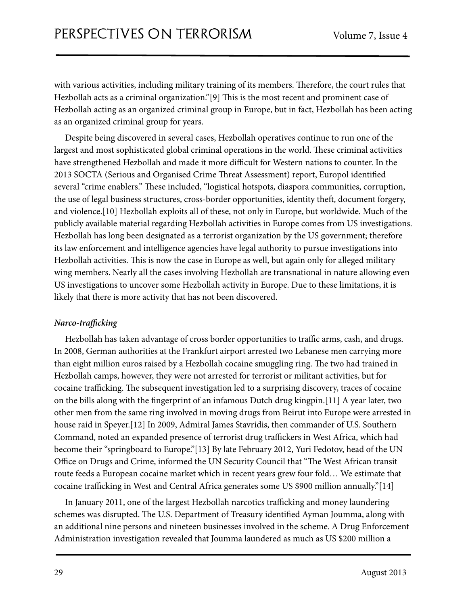with various activities, including military training of its members. Therefore, the court rules that Hezbollah acts as a criminal organization." $[9]$  This is the most recent and prominent case of Hezbollah acting as an organized criminal group in Europe, but in fact, Hezbollah has been acting as an organized criminal group for years.

Despite being discovered in several cases, Hezbollah operatives continue to run one of the largest and most sophisticated global criminal operations in the world. These criminal activities have strengthened Hezbollah and made it more difficult for Western nations to counter. In the 2013 SOCTA (Serious and Organised Crime Threat Assessment) report, Europol identified several "crime enablers." These included, "logistical hotspots, diaspora communities, corruption, the use of legal business structures, cross-border opportunities, identity theft, document forgery, and violence.[10] Hezbollah exploits all of these, not only in Europe, but worldwide. Much of the publicly available material regarding Hezbollah activities in Europe comes from US investigations. Hezbollah has long been designated as a terrorist organization by the US government; therefore its law enforcement and intelligence agencies have legal authority to pursue investigations into Hezbollah activities. This is now the case in Europe as well, but again only for alleged military wing members. Nearly all the cases involving Hezbollah are transnational in nature allowing even US investigations to uncover some Hezbollah activity in Europe. Due to these limitations, it is likely that there is more activity that has not been discovered.

# *Narco-tra***ffi***cking*

Hezbollah has taken advantage of cross border opportunities to traffic arms, cash, and drugs. In 2008, German authorities at the Frankfurt airport arrested two Lebanese men carrying more than eight million euros raised by a Hezbollah cocaine smuggling ring. The two had trained in Hezbollah camps, however, they were not arrested for terrorist or militant activities, but for cocaine trafficking. The subsequent investigation led to a surprising discovery, traces of cocaine on the bills along with the fingerprint of an infamous Dutch drug kingpin.[11] A year later, two other men from the same ring involved in moving drugs from Beirut into Europe were arrested in house raid in Speyer.[12] In 2009, Admiral James Stavridis, then commander of U.S. Southern Command, noted an expanded presence of terrorist drug traffickers in West Africa, which had become their "springboard to Europe."[13] By late February 2012, Yuri Fedotov, head of the UN Office on Drugs and Crime, informed the UN Security Council that "The West African transit route feeds a European cocaine market which in recent years grew four fold… We estimate that cocaine trafficking in West and Central Africa generates some US \$900 million annually."[14]

In January 2011, one of the largest Hezbollah narcotics trafficking and money laundering schemes was disrupted. The U.S. Department of Treasury identified Ayman Joumma, along with an additional nine persons and nineteen businesses involved in the scheme. A Drug Enforcement Administration investigation revealed that Joumma laundered as much as US \$200 million a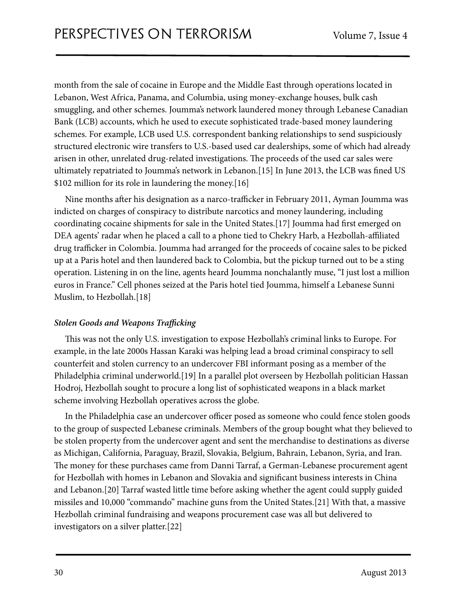month from the sale of cocaine in Europe and the Middle East through operations located in Lebanon, West Africa, Panama, and Columbia, using money-exchange houses, bulk cash smuggling, and other schemes. Joumma's network laundered money through Lebanese Canadian Bank (LCB) accounts, which he used to execute sophisticated trade-based money laundering schemes. For example, LCB used U.S. correspondent banking relationships to send suspiciously structured electronic wire transfers to U.S.-based used car dealerships, some of which had already arisen in other, unrelated drug-related investigations. The proceeds of the used car sales were ultimately repatriated to Joumma's network in Lebanon.[15] In June 2013, the LCB was fined US \$102 million for its role in laundering the money.[16]

Nine months after his designation as a narco-trafficker in February 2011, Ayman Joumma was indicted on charges of conspiracy to distribute narcotics and money laundering, including coordinating cocaine shipments for sale in the United States.[17] Joumma had first emerged on DEA agents' radar when he placed a call to a phone tied to Chekry Harb, a Hezbollah-affiliated drug trafficker in Colombia. Joumma had arranged for the proceeds of cocaine sales to be picked up at a Paris hotel and then laundered back to Colombia, but the pickup turned out to be a sting operation. Listening in on the line, agents heard Joumma nonchalantly muse, "I just lost a million euros in France." Cell phones seized at the Paris hotel tied Joumma, himself a Lebanese Sunni Muslim, to Hezbollah.[18]

# *Stolen Goods and Weapons Tra***ffi***cking*

This was not the only U.S. investigation to expose Hezbollah's criminal links to Europe. For example, in the late 2000s Hassan Karaki was helping lead a broad criminal conspiracy to sell counterfeit and stolen currency to an undercover FBI informant posing as a member of the Philadelphia criminal underworld.[19] In a parallel plot overseen by Hezbollah politician Hassan Hodroj, Hezbollah sought to procure a long list of sophisticated weapons in a black market scheme involving Hezbollah operatives across the globe.

In the Philadelphia case an undercover officer posed as someone who could fence stolen goods to the group of suspected Lebanese criminals. Members of the group bought what they believed to be stolen property from the undercover agent and sent the merchandise to destinations as diverse as Michigan, California, Paraguay, Brazil, Slovakia, Belgium, Bahrain, Lebanon, Syria, and Iran. The money for these purchases came from Danni Tarraf, a German-Lebanese procurement agent for Hezbollah with homes in Lebanon and Slovakia and significant business interests in China and Lebanon.[20] Tarraf wasted little time before asking whether the agent could supply guided missiles and 10,000 "commando" machine guns from the United States.[21] With that, a massive Hezbollah criminal fundraising and weapons procurement case was all but delivered to investigators on a silver platter.[22]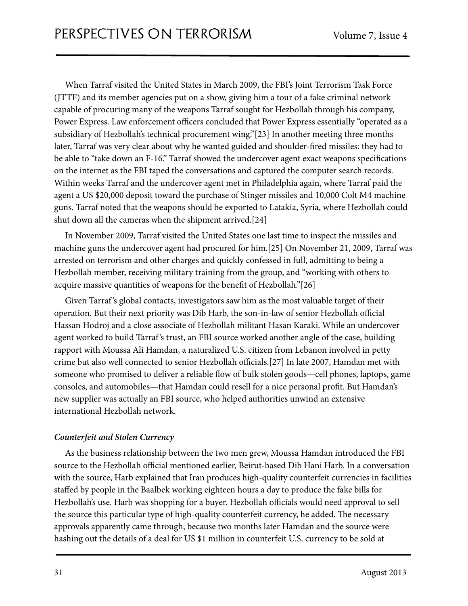When Tarraf visited the United States in March 2009, the FBI's Joint Terrorism Task Force (JTTF) and its member agencies put on a show, giving him a tour of a fake criminal network capable of procuring many of the weapons Tarraf sought for Hezbollah through his company, Power Express. Law enforcement officers concluded that Power Express essentially "operated as a subsidiary of Hezbollah's technical procurement wing."[23] In another meeting three months later, Tarraf was very clear about why he wanted guided and shoulder-fired missiles: they had to be able to "take down an F-16." Tarraf showed the undercover agent exact weapons specifications on the internet as the FBI taped the conversations and captured the computer search records. Within weeks Tarraf and the undercover agent met in Philadelphia again, where Tarraf paid the agent a US \$20,000 deposit toward the purchase of Stinger missiles and 10,000 Colt M4 machine guns. Tarraf noted that the weapons should be exported to Latakia, Syria, where Hezbollah could shut down all the cameras when the shipment arrived.[24]

In November 2009, Tarraf visited the United States one last time to inspect the missiles and machine guns the undercover agent had procured for him.[25] On November 21, 2009, Tarraf was arrested on terrorism and other charges and quickly confessed in full, admitting to being a Hezbollah member, receiving military training from the group, and "working with others to acquire massive quantities of weapons for the benefit of Hezbollah."[26]

Given Tarraf 's global contacts, investigators saw him as the most valuable target of their operation. But their next priority was Dib Harb, the son-in-law of senior Hezbollah official Hassan Hodroj and a close associate of Hezbollah militant Hasan Karaki. While an undercover agent worked to build Tarraf 's trust, an FBI source worked another angle of the case, building rapport with Moussa Ali Hamdan, a naturalized U.S. citizen from Lebanon involved in petty crime but also well connected to senior Hezbollah officials.[27] In late 2007, Hamdan met with someone who promised to deliver a reliable flow of bulk stolen goods—cell phones, laptops, game consoles, and automobiles—that Hamdan could resell for a nice personal profit. But Hamdan's new supplier was actually an FBI source, who helped authorities unwind an extensive international Hezbollah network.

# *Counterfeit and Stolen Currency*

As the business relationship between the two men grew, Moussa Hamdan introduced the FBI source to the Hezbollah official mentioned earlier, Beirut-based Dib Hani Harb. In a conversation with the source, Harb explained that Iran produces high-quality counterfeit currencies in facilities staffed by people in the Baalbek working eighteen hours a day to produce the fake bills for Hezbollah's use. Harb was shopping for a buyer. Hezbollah officials would need approval to sell the source this particular type of high-quality counterfeit currency, he added. The necessary approvals apparently came through, because two months later Hamdan and the source were hashing out the details of a deal for US \$1 million in counterfeit U.S. currency to be sold at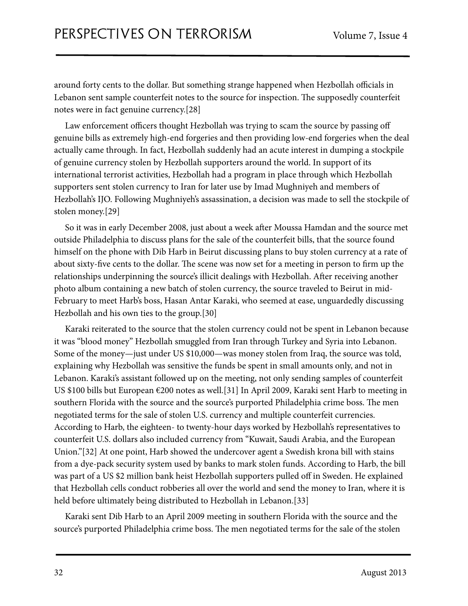around forty cents to the dollar. But something strange happened when Hezbollah officials in Lebanon sent sample counterfeit notes to the source for inspection. The supposedly counterfeit notes were in fact genuine currency.[28]

Law enforcement officers thought Hezbollah was trying to scam the source by passing off genuine bills as extremely high-end forgeries and then providing low-end forgeries when the deal actually came through. In fact, Hezbollah suddenly had an acute interest in dumping a stockpile of genuine currency stolen by Hezbollah supporters around the world. In support of its international terrorist activities, Hezbollah had a program in place through which Hezbollah supporters sent stolen currency to Iran for later use by Imad Mughniyeh and members of Hezbollah's IJO. Following Mughniyeh's assassination, a decision was made to sell the stockpile of stolen money.[29]

So it was in early December 2008, just about a week after Moussa Hamdan and the source met outside Philadelphia to discuss plans for the sale of the counterfeit bills, that the source found himself on the phone with Dib Harb in Beirut discussing plans to buy stolen currency at a rate of about sixty-five cents to the dollar. The scene was now set for a meeting in person to firm up the relationships underpinning the source's illicit dealings with Hezbollah. After receiving another photo album containing a new batch of stolen currency, the source traveled to Beirut in mid-February to meet Harb's boss, Hasan Antar Karaki, who seemed at ease, unguardedly discussing Hezbollah and his own ties to the group.[30]

Karaki reiterated to the source that the stolen currency could not be spent in Lebanon because it was "blood money" Hezbollah smuggled from Iran through Turkey and Syria into Lebanon. Some of the money—just under US \$10,000—was money stolen from Iraq, the source was told, explaining why Hezbollah was sensitive the funds be spent in small amounts only, and not in Lebanon. Karaki's assistant followed up on the meeting, not only sending samples of counterfeit US \$100 bills but European €200 notes as well.[31] In April 2009, Karaki sent Harb to meeting in southern Florida with the source and the source's purported Philadelphia crime boss. The men negotiated terms for the sale of stolen U.S. currency and multiple counterfeit currencies. According to Harb, the eighteen- to twenty-hour days worked by Hezbollah's representatives to counterfeit U.S. dollars also included currency from "Kuwait, Saudi Arabia, and the European Union."[32] At one point, Harb showed the undercover agent a Swedish krona bill with stains from a dye-pack security system used by banks to mark stolen funds. According to Harb, the bill was part of a US \$2 million bank heist Hezbollah supporters pulled off in Sweden. He explained that Hezbollah cells conduct robberies all over the world and send the money to Iran, where it is held before ultimately being distributed to Hezbollah in Lebanon.[33]

Karaki sent Dib Harb to an April 2009 meeting in southern Florida with the source and the source's purported Philadelphia crime boss. The men negotiated terms for the sale of the stolen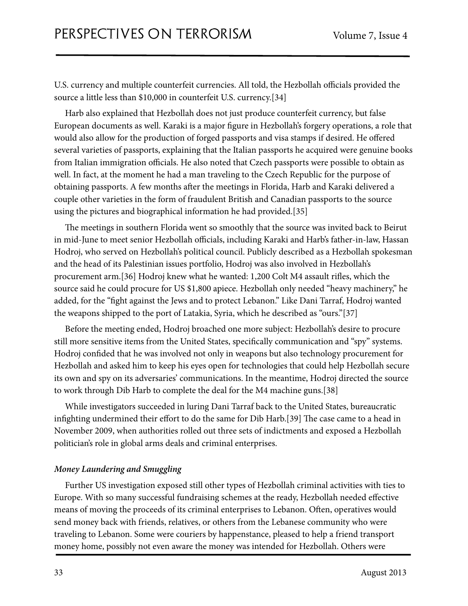U.S. currency and multiple counterfeit currencies. All told, the Hezbollah officials provided the source a little less than \$10,000 in counterfeit U.S. currency.[34]

Harb also explained that Hezbollah does not just produce counterfeit currency, but false European documents as well. Karaki is a major figure in Hezbollah's forgery operations, a role that would also allow for the production of forged passports and visa stamps if desired. He offered several varieties of passports, explaining that the Italian passports he acquired were genuine books from Italian immigration officials. He also noted that Czech passports were possible to obtain as well. In fact, at the moment he had a man traveling to the Czech Republic for the purpose of obtaining passports. A few months after the meetings in Florida, Harb and Karaki delivered a couple other varieties in the form of fraudulent British and Canadian passports to the source using the pictures and biographical information he had provided.[35]

The meetings in southern Florida went so smoothly that the source was invited back to Beirut in mid-June to meet senior Hezbollah officials, including Karaki and Harb's father-in-law, Hassan Hodroj, who served on Hezbollah's political council. Publicly described as a Hezbollah spokesman and the head of its Palestinian issues portfolio, Hodroj was also involved in Hezbollah's procurement arm.[36] Hodroj knew what he wanted: 1,200 Colt M4 assault rifles, which the source said he could procure for US \$1,800 apiece. Hezbollah only needed "heavy machinery," he added, for the "fight against the Jews and to protect Lebanon." Like Dani Tarraf, Hodroj wanted the weapons shipped to the port of Latakia, Syria, which he described as "ours."[37]

Before the meeting ended, Hodroj broached one more subject: Hezbollah's desire to procure still more sensitive items from the United States, specifically communication and "spy" systems. Hodroj confided that he was involved not only in weapons but also technology procurement for Hezbollah and asked him to keep his eyes open for technologies that could help Hezbollah secure its own and spy on its adversaries' communications. In the meantime, Hodroj directed the source to work through Dib Harb to complete the deal for the M4 machine guns.[38]

While investigators succeeded in luring Dani Tarraf back to the United States, bureaucratic infighting undermined their effort to do the same for Dib Harb.[39] The case came to a head in November 2009, when authorities rolled out three sets of indictments and exposed a Hezbollah politician's role in global arms deals and criminal enterprises.

# *Money Laundering and Smuggling*

Further US investigation exposed still other types of Hezbollah criminal activities with ties to Europe. With so many successful fundraising schemes at the ready, Hezbollah needed effective means of moving the proceeds of its criminal enterprises to Lebanon. Often, operatives would send money back with friends, relatives, or others from the Lebanese community who were traveling to Lebanon. Some were couriers by happenstance, pleased to help a friend transport money home, possibly not even aware the money was intended for Hezbollah. Others were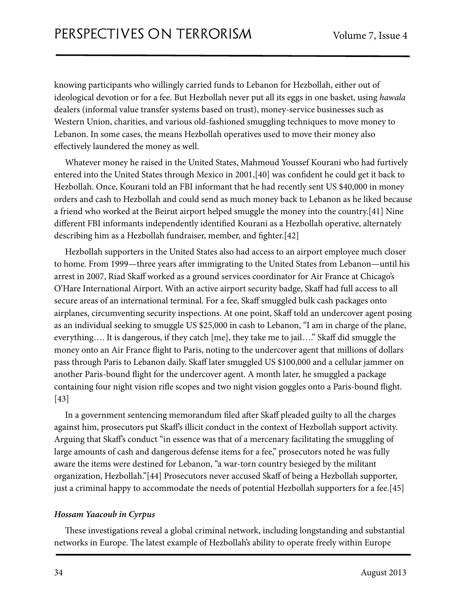knowing participants who willingly carried funds to Lebanon for Hezbollah, either out of ideological devotion or for a fee. But Hezbollah never put all its eggs in one basket, using *hawala* dealers (informal value transfer systems based on trust), money-service businesses such as Western Union, charities, and various old-fashioned smuggling techniques to move money to Lebanon. In some cases, the means Hezbollah operatives used to move their money also effectively laundered the money as well.

Whatever money he raised in the United States, Mahmoud Youssef Kourani who had furtively entered into the United States through Mexico in 2001,[40] was confident he could get it back to Hezbollah. Once, Kourani told an FBI informant that he had recently sent US \$40,000 in money orders and cash to Hezbollah and could send as much money back to Lebanon as he liked because a friend who worked at the Beirut airport helped smuggle the money into the country.[41] Nine different FBI informants independently identified Kourani as a Hezbollah operative, alternately describing him as a Hezbollah fundraiser, member, and fighter.[42]

Hezbollah supporters in the United States also had access to an airport employee much closer to home. From 1999—three years after immigrating to the United States from Lebanon—until his arrest in 2007, Riad Skaff worked as a ground services coordinator for Air France at Chicago's O'Hare International Airport. With an active airport security badge, Skaff had full access to all secure areas of an international terminal. For a fee, Skaff smuggled bulk cash packages onto airplanes, circumventing security inspections. At one point, Skaff told an undercover agent posing as an individual seeking to smuggle US \$25,000 in cash to Lebanon, "I am in charge of the plane, everything…. It is dangerous, if they catch [me], they take me to jail…." Skaff did smuggle the money onto an Air France flight to Paris, noting to the undercover agent that millions of dollars pass through Paris to Lebanon daily. Skaff later smuggled US \$100,000 and a cellular jammer on another Paris-bound flight for the undercover agent. A month later, he smuggled a package containing four night vision rifle scopes and two night vision goggles onto a Paris-bound flight. [43]

In a government sentencing memorandum filed after Skaff pleaded guilty to all the charges against him, prosecutors put Skaff's illicit conduct in the context of Hezbollah support activity. Arguing that Skaff's conduct "in essence was that of a mercenary facilitating the smuggling of large amounts of cash and dangerous defense items for a fee," prosecutors noted he was fully aware the items were destined for Lebanon, "a war-torn country besieged by the militant organization, Hezbollah."[44] Prosecutors never accused Skaff of being a Hezbollah supporter, just a criminal happy to accommodate the needs of potential Hezbollah supporters for a fee.[45]

# *Hossam Yaacoub in Cyrpus*

These investigations reveal a global criminal network, including longstanding and substantial networks in Europe. The latest example of Hezbollah's ability to operate freely within Europe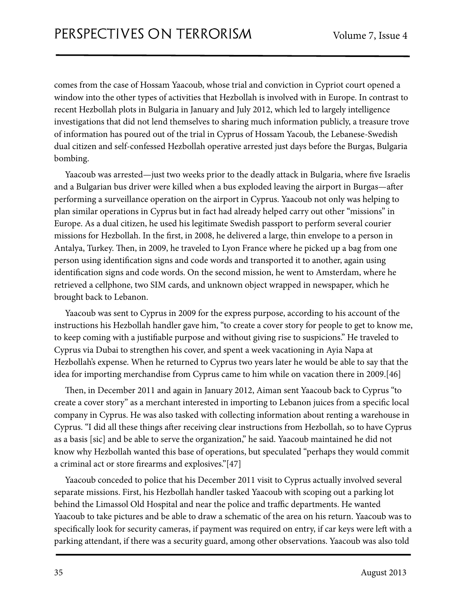comes from the case of Hossam Yaacoub, whose trial and conviction in Cypriot court opened a window into the other types of activities that Hezbollah is involved with in Europe. In contrast to recent Hezbollah plots in Bulgaria in January and July 2012, which led to largely intelligence investigations that did not lend themselves to sharing much information publicly, a treasure trove of information has poured out of the trial in Cyprus of Hossam Yacoub, the Lebanese-Swedish dual citizen and self-confessed Hezbollah operative arrested just days before the Burgas, Bulgaria bombing.

Yaacoub was arrested—just two weeks prior to the deadly attack in Bulgaria, where five Israelis and a Bulgarian bus driver were killed when a bus exploded leaving the airport in Burgas—after performing a surveillance operation on the airport in Cyprus. Yaacoub not only was helping to plan similar operations in Cyprus but in fact had already helped carry out other "missions" in Europe. As a dual citizen, he used his legitimate Swedish passport to perform several courier missions for Hezbollah. In the first, in 2008, he delivered a large, thin envelope to a person in Antalya, Turkey. Then, in 2009, he traveled to Lyon France where he picked up a bag from one person using identification signs and code words and transported it to another, again using identification signs and code words. On the second mission, he went to Amsterdam, where he retrieved a cellphone, two SIM cards, and unknown object wrapped in newspaper, which he brought back to Lebanon.

Yaacoub was sent to Cyprus in 2009 for the express purpose, according to his account of the instructions his Hezbollah handler gave him, "to create a cover story for people to get to know me, to keep coming with a justifiable purpose and without giving rise to suspicions." He traveled to Cyprus via Dubai to strengthen his cover, and spent a week vacationing in Ayia Napa at Hezbollah's expense. When he returned to Cyprus two years later he would be able to say that the idea for importing merchandise from Cyprus came to him while on vacation there in 2009.[46]

Then, in December 2011 and again in January 2012, Aiman sent Yaacoub back to Cyprus "to create a cover story" as a merchant interested in importing to Lebanon juices from a specific local company in Cyprus. He was also tasked with collecting information about renting a warehouse in Cyprus. "I did all these things after receiving clear instructions from Hezbollah, so to have Cyprus as a basis [sic] and be able to serve the organization," he said. Yaacoub maintained he did not know why Hezbollah wanted this base of operations, but speculated "perhaps they would commit a criminal act or store firearms and explosives."[47]

Yaacoub conceded to police that his December 2011 visit to Cyprus actually involved several separate missions. First, his Hezbollah handler tasked Yaacoub with scoping out a parking lot behind the Limassol Old Hospital and near the police and traffic departments. He wanted Yaacoub to take pictures and be able to draw a schematic of the area on his return. Yaacoub was to specifically look for security cameras, if payment was required on entry, if car keys were left with a parking attendant, if there was a security guard, among other observations. Yaacoub was also told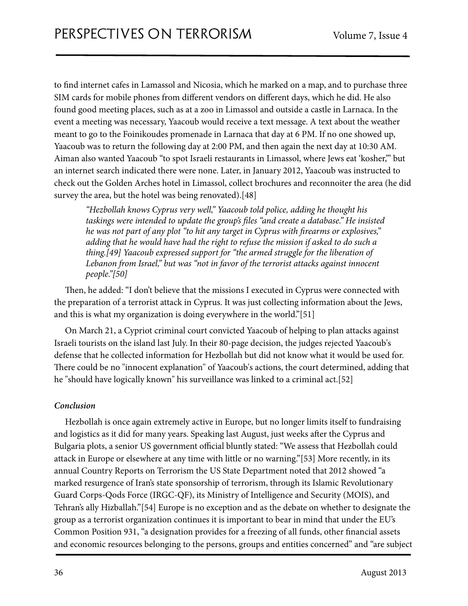to find internet cafes in Lamassol and Nicosia, which he marked on a map, and to purchase three SIM cards for mobile phones from different vendors on different days, which he did. He also found good meeting places, such as at a zoo in Limassol and outside a castle in Larnaca. In the event a meeting was necessary, Yaacoub would receive a text message. A text about the weather meant to go to the Foinikoudes promenade in Larnaca that day at 6 PM. If no one showed up, Yaacoub was to return the following day at 2:00 PM, and then again the next day at 10:30 AM. Aiman also wanted Yaacoub "to spot Israeli restaurants in Limassol, where Jews eat 'kosher,'" but an internet search indicated there were none. Later, in January 2012, Yaacoub was instructed to check out the Golden Arches hotel in Limassol, collect brochures and reconnoiter the area (he did survey the area, but the hotel was being renovated).[48]

*"Hezbollah knows Cyprus very well," Yaacoub told police, adding he thought his taskings were intended to update the group's* "*les "and create a database." He insisted he was not part of any plot "to hit any target in Cyprus with firearms or explosives," adding that he would have had the right to refuse the mission if asked to do such a thing.[49] Yaacoub expressed support for "the armed struggle for the liberation of Lebanon from Israel," but was "not in favor of the terrorist attacks against innocent people."[50]*

Then, he added: "I don't believe that the missions I executed in Cyprus were connected with the preparation of a terrorist attack in Cyprus. It was just collecting information about the Jews, and this is what my organization is doing everywhere in the world."[51]

On March 21, a Cypriot criminal court convicted Yaacoub of helping to plan attacks against Israeli tourists on the island last July. In their 80-page decision, the judges rejected Yaacoub's defense that he collected information for Hezbollah but did not know what it would be used for. There could be no "innocent explanation" of Yaacoub's actions, the court determined, adding that he "should have logically known" his surveillance was linked to a criminal act.[52]

# *Conclusion*

Hezbollah is once again extremely active in Europe, but no longer limits itself to fundraising and logistics as it did for many years. Speaking last August, just weeks after the Cyprus and Bulgaria plots, a senior US government official bluntly stated: "We assess that Hezbollah could attack in Europe or elsewhere at any time with little or no warning."[53] More recently, in its annual Country Reports on Terrorism the US State Department noted that 2012 showed "a marked resurgence of Iran's state sponsorship of terrorism, through its Islamic Revolutionary Guard Corps-Qods Force (IRGC-QF), its Ministry of Intelligence and Security (MOIS), and Tehran's ally Hizballah."[54] Europe is no exception and as the debate on whether to designate the group as a terrorist organization continues it is important to bear in mind that under the EU's Common Position 931, "a designation provides for a freezing of all funds, other financial assets and economic resources belonging to the persons, groups and entities concerned" and "are subject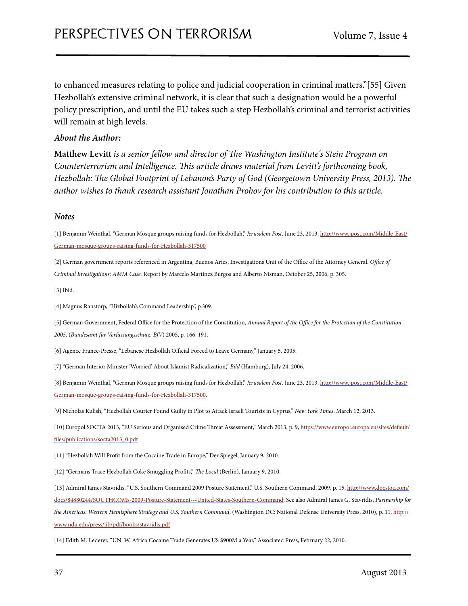to enhanced measures relating to police and judicial cooperation in criminal matters."[55] Given Hezbollah's extensive criminal network, it is clear that such a designation would be a powerful policy prescription, and until the EU takes such a step Hezbollah's criminal and terrorist activities will remain at high levels.

#### *About the Author:*

**Matthew Levitt** *is a senior fellow and director of e Washington Institute's Stein Program on*  Counterterrorism and Intelligence. This article draws material from Levitt's forthcoming book, *Hezbollah: The Global Footprint of Lebanon's Party of God (Georgetown University Press, 2013). The author wishes to thank research assistant Jonathan Prohov for his contribution to this article.*

#### *Notes*

[1] Benjamin Weinthal, "German Mosque groups raising funds for Hezbollah," *Jerusalem Post,* June 23, 2013, [http://www.jpost.com/Middle-East/](http://www.jpost.com/Middle-East/German-mosque-groups-raising-funds-for-Hezbollah-317500) [German-mosque-groups-raising-funds-for-Hezbollah-317500](http://www.jpost.com/Middle-East/German-mosque-groups-raising-funds-for-Hezbollah-317500)

[2] German government reports referenced in Argentina, Buenos Aries, Investigations Unit of the Office of the Attorney General. *O*ffi*ce of Criminal Investigations: AMIA Case.* Report by Marcelo Martinez Burgos and Alberto Nisman, October 25, 2006, p. 305.

[3] Ibid.

[4] Magnus Ranstorp, "Hizbollah's Command Leadership", p.309.

[5] German Government, Federal Office for the Protection of the Constitution, *Annual Report of the O*ffi*ce for the Protection of the Constitution 2005*, (*Bundesamt für Verfassungsschutz, BfV*) 2005, p. 166, 191.

[6] Agence France-Presse, "Lebanese Hezbollah Official Forced to Leave Germany," January 5, 2005.

[7] "German Interior Minister 'Worried' About Islamist Radicalization," *Bild* (Hamburg), July 24, 2006.

[8] Benjamin Weinthal, "German Mosque groups raising funds for Hezbollah," *Jerusalem Post,* June 23, 2013, [http://www.jpost.com/Middle-East/](http://www.jpost.com/Middle-East/German-mosque-groups-raising-funds-for-Hezbollah-317500) [German-mosque-groups-raising-funds-for-Hezbollah-317500](http://www.jpost.com/Middle-East/German-mosque-groups-raising-funds-for-Hezbollah-317500).

[9] Nicholas Kulish, "Hezbollah Courier Found Guilty in Plot to Attack Israeli Tourists in Cyprus," *New York Times*, March 12, 2013.

[10] Europol SOCTA 2013, "EU Serious and Organised Crime Threat Assessment," March 2013, p. 9, [https://www.europol.europa.eu/sites/default/](https://www.europol.europa.eu/sites/default/files/publications/socta2013_0.pdf) fi[les/publications/socta2013\\_0.pdf](https://www.europol.europa.eu/sites/default/files/publications/socta2013_0.pdf)

[11] "Hezbollah Will Profit from the Cocaine Trade in Europe," Der Spiegel, January 9, 2010.

[12] "Germans Trace Hezbollah Coke Smuggling Profits," The Local (Berlin), January 9, 2010.

[13] Admiral James Stavridis, "U.S. Southern Command 2009 Posture Statement," U.S. Southern Command, 2009, p. 15, [http://www.docstoc.com/](http://www.docstoc.com/docs/84880244/SOUTHCOMs-2009-Posture-Statement---United-States-Southern-Command) [docs/84880244/SOUTHCOMs-2009-Posture-Statement---United-States-Southern-Command;](http://www.docstoc.com/docs/84880244/SOUTHCOMs-2009-Posture-Statement---United-States-Southern-Command) See also Admiral James G. Stavridis, *Partnership for the Americas: Western Hemisphere Strategy and U.S. Southern Command*, (Washington DC: National Defense University Press, 2010), p. 11. [http://](http://www.ndu.edu/press/lib/pdf/books/stavridis.pdf) [www.ndu.edu/press/lib/pdf/books/stavridis.pdf](http://www.ndu.edu/press/lib/pdf/books/stavridis.pdf)

[14] Edith M. Lederer, "UN: W. Africa Cocaine Trade Generates US \$900M a Year," Associated Press, February 22, 2010.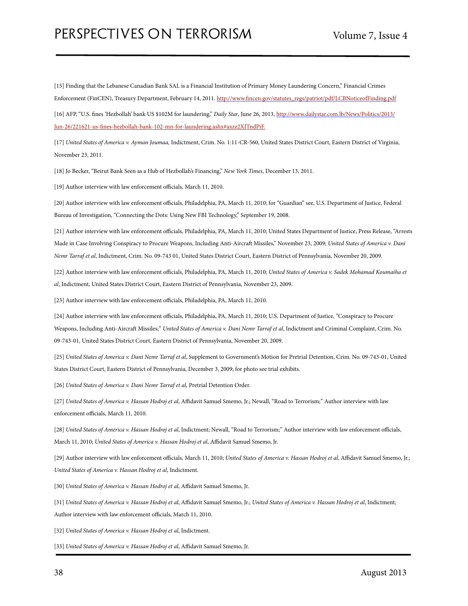[15] Finding that the Lebanese Canadian Bank SAL is a Financial Institution of Primary Money Laundering Concern," Financial Crimes Enforcement (FinCEN), Treasury Department, February 14, 2011. http://www.fi[ncen.gov/statutes\\_regs/patriot/pdf/LCBNoticeofFinding.pdf](http://www.fincen.gov/statutes_regs/patriot/pdf/LCBNoticeofFinding.pdf)

[16] AFP, "U.S. "nes 'Hezbollah' bank US \$102M for laundering," *Daily Star*, June 26, 2013, [http://www.dailystar.com.lb/News/Politics/2013/](http://www.dailystar.com.lb/News/Politics/2013/Jun-26/221621-us-fines-hezbollah-bank-102-mn-for-laundering.ashx) Jun-26/221621-us-fi[nes-hezbollah-bank-102-mn-for-laundering.ashx#axzz2XITndPiF](http://www.dailystar.com.lb/News/Politics/2013/Jun-26/221621-us-fines-hezbollah-bank-102-mn-for-laundering.ashx).

[17] *United States of America v. Ayman Joumaa,* Indictment, Crim. No. 1:11-CR-560, United States District Court, Eastern District of Virginia, November 23, 2011.

[18] Jo Becker, "Beirut Bank Seen as a Hub of Hezbollah's Financing," *New York Times*, December 13, 2011.

[19] Author interview with law enforcement officials, March 11, 2010.

[20] Author interview with law enforcement officials, Philadelphia, PA, March 11, 2010; for "Guardian" see, U.S. Department of Justice, Federal Bureau of Investigation, "Connecting the Dots: Using New FBI Technology," September 19, 2008.

[21] Author interview with law enforcement officials, Philadelphia, PA, March 11, 2010; United States Department of Justice, Press Release, "Arrests Made in Case Involving Conspiracy to Procure Weapons, Including Anti-Aircraft Missiles," November 23, 2009; United States of America v. Dani *Nemr Tarraf et al*, Indictment, Crim. No. 09-743 01, United States District Court, Eastern District of Pennsylvania, November 20, 2009.

[22] Author interview with law enforcement officials, Philadelphia, PA, March 11, 2010; *United States of America v. Sadek Mohamad Koumaiha et al*, Indictment, United States District Court, Eastern District of Pennsylvania, November 23, 2009.

[23] Author interview with law enforcement officials, Philadelphia, PA, March 11, 2010.

[24] Author interview with law enforcement officials, Philadelphia, PA, March 11, 2010; U.S. Department of Justice, "Conspiracy to Procure Weapons, Including Anti-Aircraft Missiles;" United States of America v. Dani Nemr Tarraf et al, Indictment and Criminal Complaint, Crim. No. 09-743-01, United States District Court, Eastern District of Pennsylvania, November 20, 2009.

[25] *United States of America v. Dani Nemr Tarraf et al*, Supplement to Government's Motion for Pretrial Detention, Crim. No. 09-743-01, United States District Court, Eastern District of Pennsylvania, December 3, 2009; for photo see trial exhibits.

[26] *United States of America v. Dani Nemr Tarraf et al,* Pretrial Detention Order.

[27] *United States of America v. Hassan Hodroj et al*, Affidavit Samuel Smemo, Jr.; Newall, "Road to Terrorism;" Author interview with law enforcement officials, March 11, 2010.

[28] *United States of America v. Hassan Hodroj et al*, Indictment; Newall, "Road to Terrorism;" Author interview with law enforcement officials, March 11, 2010; *United States of America v. Hassan Hodroj et al*, Affidavit Samuel Smemo, Jr.

[29] Author interview with law enforcement officials, March 11, 2010; *United States of America v. Hassan Hodroj et al*, Affidavit Samuel Smemo, Jr.; *United States of America v. Hassan Hodroj et al*, Indictment.

[30] *United States of America v. Hassan Hodroj et al*, Affidavit Samuel Smemo, Jr.

[31] *United States of America v. Hassan Hodroj et al*, Affidavit Samuel Smemo, Jr.; *United States of America v. Hassan Hodroj et al*, Indictment; Author interview with law enforcement officials, March 11, 2010.

[32] *United States of America v. Hassan Hodroj et al*, Indictment.

[33] *United States of America v. Hassan Hodroj et al*, Affidavit Samuel Smemo, Jr.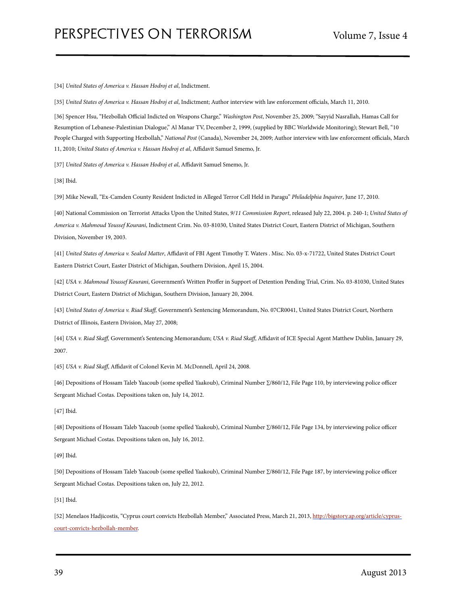[34] *United States of America v. Hassan Hodroj et al*, Indictment.

[35] *United States of America v. Hassan Hodroj et al*, Indictment; Author interview with law enforcement officials, March 11, 2010.

[36] Spencer Hsu, "Hezbollah Official Indicted on Weapons Charge," *Washington Post*, November 25, 2009; "Sayyid Nasrallah, Hamas Call for Resumption of Lebanese-Palestinian Dialogue," Al Manar TV, December 2, 1999, (supplied by BBC Worldwide Monitoring); Stewart Bell, "10 People Charged with Supporting Hezbollah," *National Post* (Canada), November 24, 2009; Author interview with law enforcement officials, March 11, 2010; *United States of America v. Hassan Hodroj et al*, Affidavit Samuel Smemo, Jr.

[37] *United States of America v. Hassan Hodroj et al*, Affidavit Samuel Smemo, Jr.

[38] Ibid.

[39] Mike Newall, "Ex-Camden County Resident Indicted in Alleged Terror Cell Held in Paragu" *Philadelphia Inquirer*, June 17, 2010.

[40] National Commission on Terrorist Attacks Upon the United States, *9/11 Commission Report*, released July 22, 2004. p. 240-1; *United States of America v. Mahmoud Youssef Kourani*, Indictment Crim. No. 03-81030, United States District Court, Eastern District of Michigan, Southern Division, November 19, 2003.

[41] *United States of America v. Sealed Matter*, Affidavit of FBI Agent Timothy T. Waters . Misc. No. 03-x-71722, United States District Court Eastern District Court, Easter District of Michigan, Southern Division, April 15, 2004.

[42] *USA v. Mahmoud Youssef Kourani*, Government's Written Proffer in Support of Detention Pending Trial, Crim. No. 03-81030, United States District Court, Eastern District of Michigan, Southern Division, January 20, 2004.

[43] *United States of America v. Riad Ska*ff*,* Government's Sentencing Memorandum, No. 07CR0041, United States District Court, Northern District of Illinois, Eastern Division, May 27, 2008;

[44] *USA v. Riad Ska*ff*,* Government's Sentencing Memorandum; *USA v. Riad Ska*ff, Affidavit of ICE Special Agent Matthew Dublin, January 29, 2007.

[45] *USA v. Riad Ska*ff, Affidavit of Colonel Kevin M. McDonnell, April 24, 2008.

[46] Depositions of Hossam Taleb Yaacoub (some spelled Yaakoub), Criminal Number ∑/860/12, File Page 110, by interviewing police officer Sergeant Michael Costas. Depositions taken on, July 14, 2012.

[47] Ibid.

[48] Depositions of Hossam Taleb Yaacoub (some spelled Yaakoub), Criminal Number ∑/860/12, File Page 134, by interviewing police officer Sergeant Michael Costas. Depositions taken on, July 16, 2012.

[49] Ibid.

[50] Depositions of Hossam Taleb Yaacoub (some spelled Yaakoub), Criminal Number ∑/860/12, File Page 187, by interviewing police officer Sergeant Michael Costas. Depositions taken on, July 22, 2012.

[51] Ibid.

[52] Menelaos Hadjicostis, "Cyprus court convicts Hezbollah Member," Associated Press, March 21, 2013, [http://bigstory.ap.org/article/cyprus](http://bigstory.ap.org/article/cyprus-court-convicts-hezbollah-member)[court-convicts-hezbollah-member](http://bigstory.ap.org/article/cyprus-court-convicts-hezbollah-member).